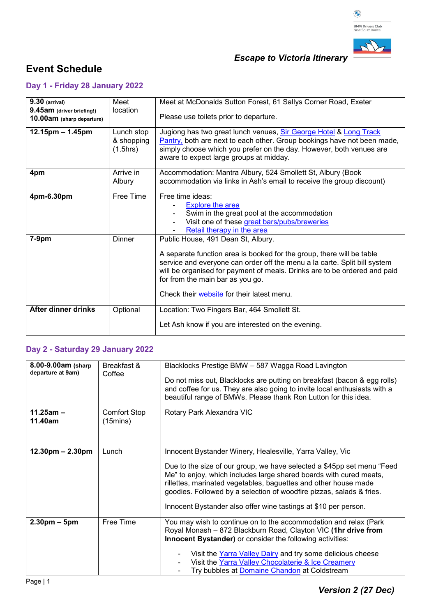

# *Escape to Victoria Itinerary*

# **Event Schedule**

## **Day 1 - Friday 28 January 2022**

| <b>9.30 (arrival)</b>                                  | Meet                                 | Meet at McDonalds Sutton Forest, 61 Sallys Corner Road, Exeter                                                                                                                                                                                                                                                                                          |
|--------------------------------------------------------|--------------------------------------|---------------------------------------------------------------------------------------------------------------------------------------------------------------------------------------------------------------------------------------------------------------------------------------------------------------------------------------------------------|
| 9.45am (driver briefing!)<br>10.00am (sharp departure) | location                             | Please use toilets prior to departure.                                                                                                                                                                                                                                                                                                                  |
| $12.15pm - 1.45pm$                                     | Lunch stop<br>& shopping<br>(1.5hrs) | Jugiong has two great lunch venues, Sir George Hotel & Long Track<br>Pantry, both are next to each other. Group bookings have not been made,<br>simply choose which you prefer on the day. However, both venues are<br>aware to expect large groups at midday.                                                                                          |
| 4pm                                                    | Arrive in<br>Albury                  | Accommodation: Mantra Albury, 524 Smollett St, Albury (Book<br>accommodation via links in Ash's email to receive the group discount)                                                                                                                                                                                                                    |
| 4pm-6.30pm                                             | Free Time                            | Free time ideas:<br><b>Explore the area</b><br>Swim in the great pool at the accommodation<br>Visit one of these great bars/pubs/breweries<br>Retail therapy in the area                                                                                                                                                                                |
| $7-9pm$                                                | <b>Dinner</b>                        | Public House, 491 Dean St, Albury.<br>A separate function area is booked for the group, there will be table<br>service and everyone can order off the menu a la carte. Split bill system<br>will be organised for payment of meals. Drinks are to be ordered and paid<br>for from the main bar as you go.<br>Check their website for their latest menu. |
| After dinner drinks                                    | Optional                             | Location: Two Fingers Bar, 464 Smollett St.<br>Let Ash know if you are interested on the evening.                                                                                                                                                                                                                                                       |

### **Day 2 - Saturday 29 January 2022**

| 8.00-9.00am (sharp<br>departure at 9am) | Breakfast &<br>Coffee                     | Blacklocks Prestige BMW - 587 Wagga Road Lavington<br>Do not miss out, Blacklocks are putting on breakfast (bacon & egg rolls)<br>and coffee for us. They are also going to invite local enthusiasts with a<br>beautiful range of BMWs. Please thank Ron Lutton for this idea.                                                                                                                                          |
|-----------------------------------------|-------------------------------------------|-------------------------------------------------------------------------------------------------------------------------------------------------------------------------------------------------------------------------------------------------------------------------------------------------------------------------------------------------------------------------------------------------------------------------|
| $11.25am -$<br>11.40am                  | <b>Comfort Stop</b><br>$(15 \text{mins})$ | Rotary Park Alexandra VIC                                                                                                                                                                                                                                                                                                                                                                                               |
| $12.30pm - 2.30pm$                      | Lunch                                     | Innocent Bystander Winery, Healesville, Yarra Valley, Vic<br>Due to the size of our group, we have selected a \$45pp set menu "Feed<br>Me" to enjoy, which includes large shared boards with cured meats,<br>rillettes, marinated vegetables, baguettes and other house made<br>goodies. Followed by a selection of woodfire pizzas, salads & fries.<br>Innocent Bystander also offer wine tastings at \$10 per person. |
| $2.30pm - 5pm$                          | Free Time                                 | You may wish to continue on to the accommodation and relax (Park<br>Royal Monash - 872 Blackburn Road, Clayton VIC (1hr drive from<br><b>Innocent Bystander)</b> or consider the following activities:<br>Visit the Yarra Valley Dairy and try some delicious cheese<br>Visit the Yarra Valley Chocolaterie & Ice Creamery<br>Try bubbles at <b>Domaine Chandon</b> at Coldstream                                       |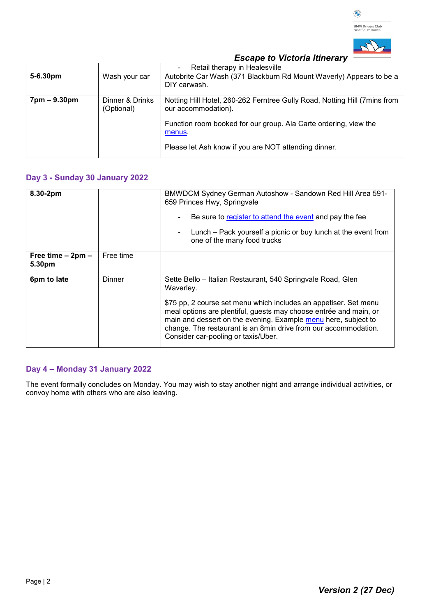

*Escape to Victoria Itinerary*

|                                |                               | Retail therapy in Healesville<br>٠                                                               |
|--------------------------------|-------------------------------|--------------------------------------------------------------------------------------------------|
| 5-6.30pm                       | Wash your car                 | Autobrite Car Wash (371 Blackburn Rd Mount Waverly) Appears to be a<br>DIY carwash.              |
| $7 \text{pm} - 9.30 \text{pm}$ | Dinner & Drinks<br>(Optional) | Notting Hill Hotel, 260-262 Ferntree Gully Road, Notting Hill (7mins from<br>our accommodation). |
|                                |                               | Function room booked for our group. Ala Carte ordering, view the<br>menus.                       |
|                                |                               | Please let Ash know if you are NOT attending dinner.                                             |

#### **Day 3 - Sunday 30 January 2022**

| 8.30-2pm                        |               | BMWDCM Sydney German Autoshow - Sandown Red Hill Area 591-<br>659 Princes Hwy, Springvale<br>Be sure to register to attend the event and pay the fee<br>۰.<br>Lunch – Pack yourself a picnic or buy lunch at the event from<br>one of the many food trucks                                                                                                                                    |
|---------------------------------|---------------|-----------------------------------------------------------------------------------------------------------------------------------------------------------------------------------------------------------------------------------------------------------------------------------------------------------------------------------------------------------------------------------------------|
| Free time $-2$ pm $-$<br>5.30pm | Free time     |                                                                                                                                                                                                                                                                                                                                                                                               |
| 6pm to late                     | <b>Dinner</b> | Sette Bello – Italian Restaurant, 540 Springvale Road, Glen<br>Waverley.<br>\$75 pp, 2 course set menu which includes an appetiser. Set menu<br>meal options are plentiful, guests may choose entrée and main, or<br>main and dessert on the evening. Example menu here, subject to<br>change. The restaurant is an 8min drive from our accommodation.<br>Consider car-pooling or taxis/Uber. |

#### **Day 4 – Monday 31 January 2022**

The event formally concludes on Monday. You may wish to stay another night and arrange individual activities, or convoy home with others who are also leaving.